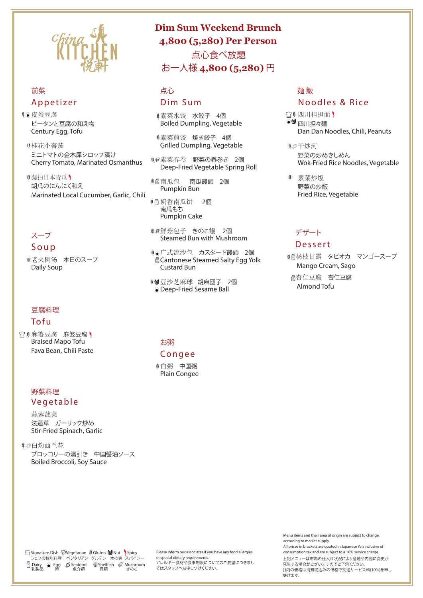Menu items and their area of origin are subject to change, according to market supply.

All prices in brackets are quoted in Japanese Yen inclusive of

Please inform our associates if you have any food allergies consumption tax and are subject to a 10% service charge. or special dietary requirements. アレルギー食材や食事制限についてのご要望につきまし

●蒜拍日本青瓜) 胡瓜のにんにく和え Marinated Local Cucumber, Garlic, Chili

てはスタッフへお申しつけください。

□ 转麻婆豆腐 麻婆豆腐 ) Braised Mapo Tofu Fava Bean, Chili Paste

> 上記メニューは市場の仕入れ状況により産地や内容に変更が 発生する場合がございますのでご了承ください。 ( )内の価格は消費税込みの価格で別途サービス料(10%)を申し 受けます。



# 前菜 Appetizer

皮蛋豆腐 ピータンと豆腐の和え物 Century Egg, Tofu

桂花小蕃茄 ミニトマトの金木犀シロップ漬け Cherry Tomato, Marinated Osmanthus

> ● 命鮮菇包子 きのこ饅 2個 Steamed Bun with Mushroom

# スープ

Soup

老火例汤 本日のスープ Daily Soup

- □●四川担担面)  $\bullet$ <sup>1</sup>四川担々麺 Dan Dan Noodles, Chili, Peanuts
- 干炒河

#### 豆腐料理

#### Tofu

### 野菜料理 Vegetable

蒜蓉菠菜 法蓮草 ガーリック炒め Stir-Fried Spinach, Garlic

白灼西兰花

#### ブロッコリーの湯引き 中国醤油ソース Boiled Broccoli, Soy Sauce

# 点心

#### Dim Sum

素菜水饺 水餃子 4個 Boiled Dumpling, Vegetable

素菜煎饺 焼き餃子 4個 Grilled Dumpling, Vegetable

素菜春卷 野菜の春巻き 2個 Deep-Fried Vegetable Spring Roll

南瓜包 南瓜饅頭 2個 Pumpkin Bun

奶香南瓜饼 2個 南瓜もち Pumpkin Cake

广式流沙包 カスタード饅頭 2個 Cantonese Steamed Salty Egg Yolk Custard Bun

豆沙芝麻球 胡麻団子 2個 Deep-Fried Sesame Ball

#### お粥

#### Congee

白粥 中国粥 Plain Congee

# 麺 飯

# Noodles & Rice

野菜の炒めきしめん Wok-Fried Rice Noodles, Vegetable

素菜炒饭 野菜の炒飯 Fried Rice, Vegetable

## デザート

# Dessert

 杨枝甘露 タピオカ マンゴースープ Mango Cream, Sago 杏仁豆腐 杏仁豆腐

Almond Tofu

# **Dim Sum Weekend Brunch 4,800 (5,280) Per Person**

 点心食べ放題 お一人様 **4,800 (5,280)** 円

 Signature Dish Vegetarian Gluten Nut Spicy シェフの特別料理 ベジタリアン グルテン 木の実 スパイシー Dairy (ම Egg *D* Seafood \ Shellfish කි Mushroom 乳製品 卵 魚介類 貝類 きのこ